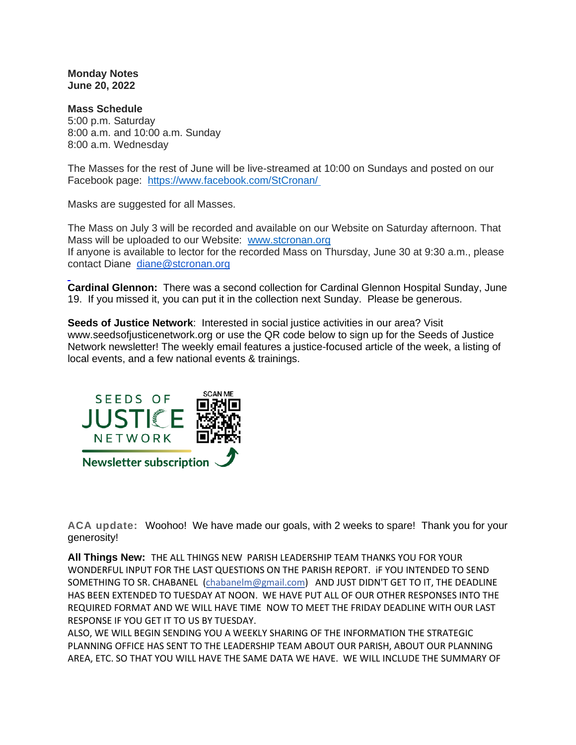**Monday Notes June 20, 2022**

**Mass Schedule** 5:00 p.m. Saturday 8:00 a.m. and 10:00 a.m. Sunday 8:00 a.m. Wednesday

The Masses for the rest of June will be live-streamed at 10:00 on Sundays and posted on our Facebook page: <https://www.facebook.com/StCronan/>

Masks are suggested for all Masses.

The Mass on July 3 will be recorded and available on our Website on Saturday afternoon. That Mass will be uploaded to our Website: [www.stcronan.org](http://www.stcronan.org/) If anyone is available to lector for the recorded Mass on Thursday, June 30 at 9:30 a.m., please contact Diane [diane@stcronan.org](mailto:diane@stcronan.org)

**Cardinal Glennon:** There was a second collection for Cardinal Glennon Hospital Sunday, June 19. If you missed it, you can put it in the collection next Sunday. Please be generous.

**Seeds of Justice Network**: Interested in social justice activities in our area? Visit [www.seedsofjusticenetwork.org](http://www.seedsofjusticenetwork.org/) or use the QR code below to sign up for the Seeds of Justice Network newsletter! The weekly email features a justice-focused article of the week, a listing of local events, and a few national events & trainings.



**ACA update:** Woohoo! We have made our goals, with 2 weeks to spare! Thank you for your generosity!

**All Things New:** THE ALL THINGS NEW PARISH LEADERSHIP TEAM THANKS YOU FOR YOUR WONDERFUL INPUT FOR THE LAST QUESTIONS ON THE PARISH REPORT. iF YOU INTENDED TO SEND SOMETHING TO SR. CHABANEL [\(chabanelm@gmail.com\)](mailto:chabanelm@gmail.com) AND JUST DIDN'T GET TO IT, THE DEADLINE HAS BEEN EXTENDED TO TUESDAY AT NOON. WE HAVE PUT ALL OF OUR OTHER RESPONSES INTO THE REQUIRED FORMAT AND WE WILL HAVE TIME NOW TO MEET THE FRIDAY DEADLINE WITH OUR LAST RESPONSE IF YOU GET IT TO US BY TUESDAY.

ALSO, WE WILL BEGIN SENDING YOU A WEEKLY SHARING OF THE INFORMATION THE STRATEGIC PLANNING OFFICE HAS SENT TO THE LEADERSHIP TEAM ABOUT OUR PARISH, ABOUT OUR PLANNING AREA, ETC. SO THAT YOU WILL HAVE THE SAME DATA WE HAVE. WE WILL INCLUDE THE SUMMARY OF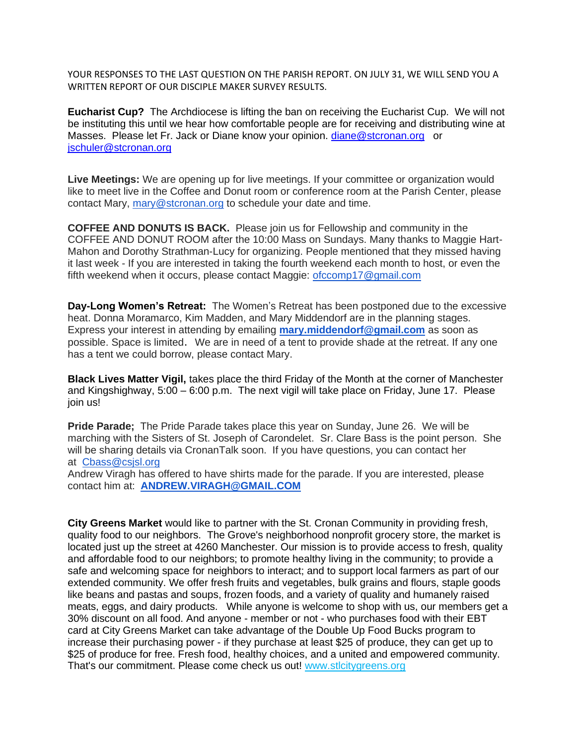YOUR RESPONSES TO THE LAST QUESTION ON THE PARISH REPORT. ON JULY 31, WE WILL SEND YOU A WRITTEN REPORT OF OUR DISCIPLE MAKER SURVEY RESULTS.

**Eucharist Cup?** The Archdiocese is lifting the ban on receiving the Eucharist Cup. We will not be instituting this until we hear how comfortable people are for receiving and distributing wine at Masses. Please let Fr. Jack or Diane know your opinion. [diane@stcronan.org](mailto:diane@stcronan.org) or [jschuler@stcronan.org](mailto:jschuler@stcronan.org)

**Live Meetings:** We are opening up for live meetings. If your committee or organization would like to meet live in the Coffee and Donut room or conference room at the Parish Center, please contact Mary, [mary@stcronan.org](mailto:mary@stcronan.org) to schedule your date and time.

**COFFEE AND DONUTS IS BACK.** Please join us for Fellowship and community in the COFFEE AND DONUT ROOM after the 10:00 Mass on Sundays. Many thanks to Maggie Hart-Mahon and Dorothy Strathman-Lucy for organizing. People mentioned that they missed having it last week - If you are interested in taking the fourth weekend each month to host, or even the fifth weekend when it occurs, please contact Maggie: [ofccomp17@gmail.com](mailto:ofccomp17@gmail.com)

**Day-Long Women's Retreat:** The Women's Retreat has been postponed due to the excessive heat. Donna Moramarco, Kim Madden, and Mary Middendorf are in the planning stages. Express your interest in attending by emailing **[mary.middendorf@gmail.com](mailto:mary.middendorf@gmail.com)** as soon as possible. Space is limited. We are in need of a tent to provide shade at the retreat. If any one has a tent we could borrow, please contact Mary.

**Black Lives Matter Vigil,** takes place the third Friday of the Month at the corner of Manchester and Kingshighway, 5:00 – 6:00 p.m. The next vigil will take place on Friday, June 17. Please join us!

**Pride Parade;** The Pride Parade takes place this year on Sunday, June 26. We will be marching with the Sisters of St. Joseph of Carondelet. Sr. Clare Bass is the point person. She will be sharing details via CronanTalk soon. If you have questions, you can contact her at [Cbass@csjsl.org](mailto:Cbass@csjsl.org)

Andrew Viragh has offered to have shirts made for the parade. If you are interested, please contact him at: **[ANDREW.VIRAGH@GMAIL.COM](mailto:ANDREW.VIRAGH@GMAIL.COM)**

**City Greens Market** would like to partner with the St. Cronan Community in providing fresh, quality food to our neighbors. The Grove's neighborhood nonprofit grocery store, the market is located just up the street at 4260 Manchester. Our mission is to provide access to fresh, quality and affordable food to our neighbors; to promote healthy living in the community; to provide a safe and welcoming space for neighbors to interact; and to support local farmers as part of our extended community. We offer fresh fruits and vegetables, bulk grains and flours, staple goods like beans and pastas and soups, frozen foods, and a variety of quality and humanely raised meats, eggs, and dairy products. While anyone is welcome to shop with us, our members get a 30% discount on all food. And anyone - member or not - who purchases food with their EBT card at City Greens Market can take advantage of the Double Up Food Bucks program to increase their purchasing power - if they purchase at least \$25 of produce, they can get up to \$25 of produce for free. Fresh food, healthy choices, and a united and empowered community. That's our commitment. Please come check us out! [www.stlcitygreens.org](http://www.stlcitygreens.org/)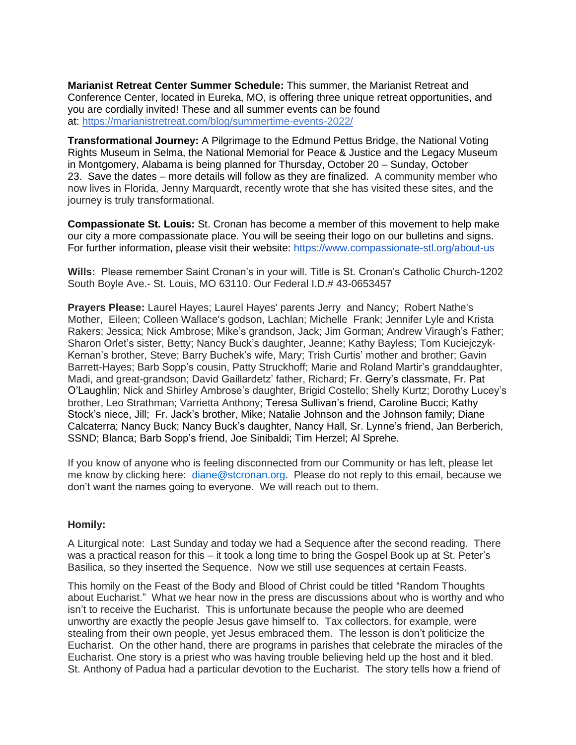**Marianist Retreat Center Summer Schedule:** This summer, the Marianist Retreat and Conference Center, located in Eureka, MO, is offering three unique retreat opportunities, and you are cordially invited! These and all summer events can be found at: <https://marianistretreat.com/blog/summertime-events-2022/>

**Transformational Journey:** A Pilgrimage to the Edmund Pettus Bridge, the National Voting Rights Museum in Selma, the National Memorial for Peace & Justice and the Legacy Museum in Montgomery, Alabama is being planned for Thursday, October 20 – Sunday, October 23. Save the dates – more details will follow as they are finalized. A community member who now lives in Florida, Jenny Marquardt, recently wrote that she has visited these sites, and the journey is truly transformational.

**Compassionate St. Louis:** St. Cronan has become a member of this movement to help make our city a more compassionate place. You will be seeing their logo on our bulletins and signs. For further information, please visit their website: <https://www.compassionate-stl.org/about-us>

**Wills:** Please remember Saint Cronan's in your will. Title is St. Cronan's Catholic Church-1202 South Boyle Ave.- St. Louis, MO 63110. Our Federal I.D.# 43-0653457

**Prayers Please:** Laurel Hayes; Laurel Hayes' parents Jerry and Nancy; Robert Nathe's Mother, Eileen; Colleen Wallace's godson, Lachlan; Michelle Frank; Jennifer Lyle and Krista Rakers; Jessica; Nick Ambrose; Mike's grandson, Jack; Jim Gorman; Andrew Viraugh's Father; Sharon Orlet's sister, Betty; Nancy Buck's daughter, Jeanne; Kathy Bayless; Tom Kuciejczyk-Kernan's brother, Steve; Barry Buchek's wife, Mary; Trish Curtis' mother and brother; Gavin Barrett-Hayes; Barb Sopp's cousin, Patty Struckhoff; Marie and Roland Martir's granddaughter, Madi, and great-grandson; David Gaillardetz' father, Richard; Fr. Gerry's classmate, Fr. Pat O'Laughlin; Nick and Shirley Ambrose's daughter, Brigid Costello; Shelly Kurtz; Dorothy Lucey's brother, Leo Strathman; Varrietta Anthony; Teresa Sullivan's friend, Caroline Bucci; Kathy Stock's niece, Jill; Fr. Jack's brother, Mike; Natalie Johnson and the Johnson family; Diane Calcaterra; Nancy Buck; Nancy Buck's daughter, Nancy Hall, Sr. Lynne's friend, Jan Berberich, SSND; Blanca; Barb Sopp's friend, Joe Sinibaldi; Tim Herzel; Al Sprehe.

If you know of anyone who is feeling disconnected from our Community or has left, please let me know by clicking here: [diane@stcronan.org.](mailto:diane@stcronan.org) Please do not reply to this email, because we don't want the names going to everyone. We will reach out to them.

## **Homily:**

A Liturgical note: Last Sunday and today we had a Sequence after the second reading. There was a practical reason for this – it took a long time to bring the Gospel Book up at St. Peter's Basilica, so they inserted the Sequence. Now we still use sequences at certain Feasts.

This homily on the Feast of the Body and Blood of Christ could be titled "Random Thoughts about Eucharist." What we hear now in the press are discussions about who is worthy and who isn't to receive the Eucharist. This is unfortunate because the people who are deemed unworthy are exactly the people Jesus gave himself to. Tax collectors, for example, were stealing from their own people, yet Jesus embraced them. The lesson is don't politicize the Eucharist. On the other hand, there are programs in parishes that celebrate the miracles of the Eucharist. One story is a priest who was having trouble believing held up the host and it bled. St. Anthony of Padua had a particular devotion to the Eucharist. The story tells how a friend of